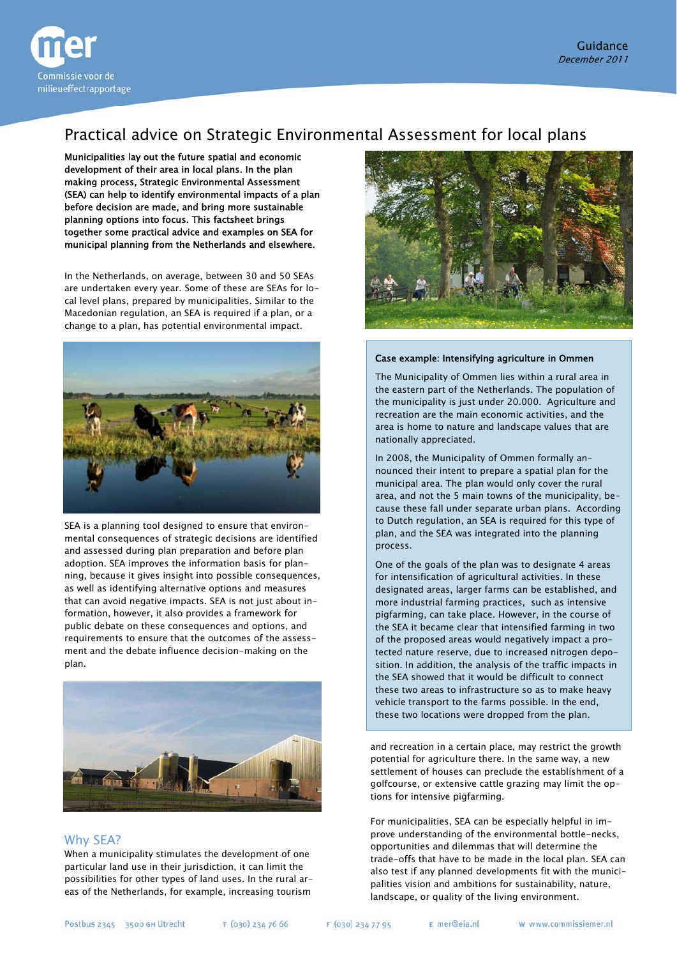

# Practical advice on Strategic Environmental Assessment for local plans

Municipalities lay out the future spatial and economic development of their area in local plans. In the plan making process, Strategic Environmental Assessment (SEA) can help to identify environmental impacts of a plan before decision are made, and bring more sustainable planning options into focus. This factsheet brings together some practical advice and examples on SEA for municipal planning from the Netherlands and elsewhere.

In the Netherlands, on average, between 30 and 50 SEAs are undertaken every year. Some of these are SEAs for local level plans, prepared by municipalities. Similar to the Macedonian regulation, an SEA is required if a plan, or a change to a plan, has potential environmental impact.



SEA is a planning tool designed to ensure that environmental consequences of strategic decisions are identified and assessed during plan preparation and before plan adoption. SEA improves the information basis for planning, because it gives insight into possible consequences, as well as identifying alternative options and measures that can avoid negative impacts. SEA is not just about information, however, it also provides a framework for public debate on these consequences and options, and requirements to ensure that the outcomes of the assessment and the debate influence decision-making on the plan.



## Why SEA?

When a municipality stimulates the development of one particular land use in their jurisdiction, it can limit the possibilities for other types of land uses. In the rural areas of the Netherlands, for example, increasing tourism



#### Case example: Intensifying agriculture in Ommen

The Municipality of Ommen lies within a rural area in the eastern part of the Netherlands. The population of the municipality is just under 20.000. Agriculture and recreation are the main economic activities, and the area is home to nature and landscape values that are nationally appreciated.

In 2008, the Municipality of Ommen formally announced their intent to prepare a spatial plan for the municipal area. The plan would only cover the rural area, and not the 5 main towns of the municipality, because these fall under separate urban plans. According to Dutch regulation, an SEA is required for this type of plan, and the SEA was integrated into the planning process.

One of the goals of the plan was to designate 4 areas for intensification of agricultural activities. In these designated areas, larger farms can be established, and more industrial farming practices, such as intensive pigfarming, can take place. However, in the course of the SEA it became clear that intensified farming in two of the proposed areas would negatively impact a protected nature reserve, due to increased nitrogen deposition. In addition, the analysis of the traffic impacts in the SEA showed that it would be difficult to connect these two areas to infrastructure so as to make heavy vehicle transport to the farms possible. In the end, these two locations were dropped from the plan.

and recreation in a certain place, may restrict the growth golfcourse, or extensive cattle grazing may limit the options for intensive pigfarming. potential for agriculture there. In the same way, a new settlement of houses can preclude the establishment of a

prove understanding of the environmental bottle-necks, palities vision and ambitions for sustainability, nature, landscape, or quality of the living environment. For municipalities, SEA can be especially helpful in imopportunities and dilemmas that will determine the trade-offs that have to be made in the local plan. SEA can also test if any planned developments fit with the munici-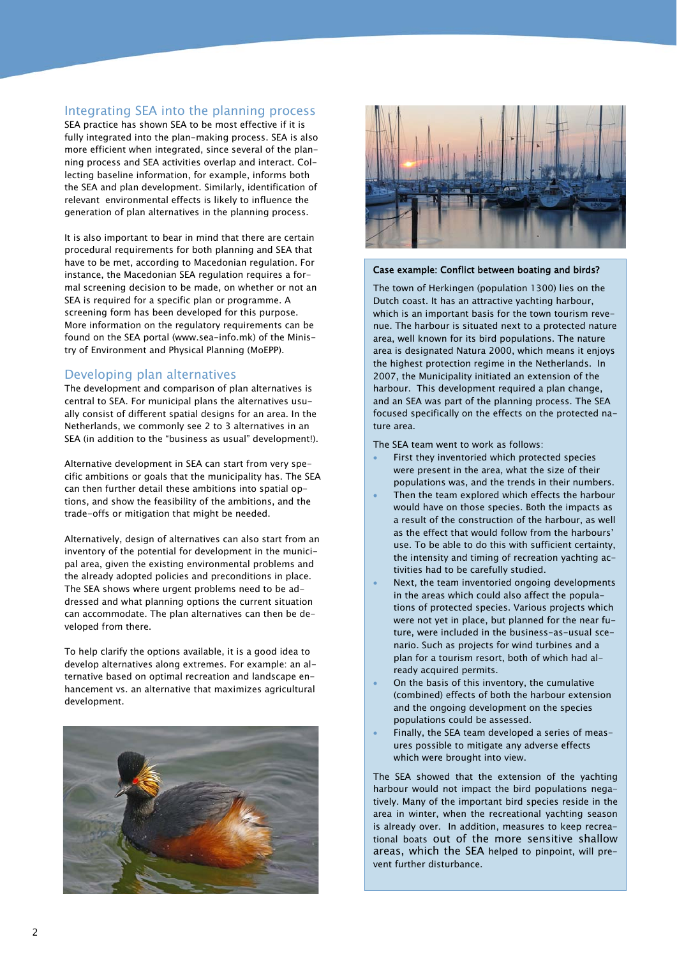## Integrating SEA into the planning process

SEA practice has shown SEA to be most effective if it is fully integrated into the plan-making process. SEA is also more efficient when integrated, since several of the planning process and SEA activities overlap and interact. Collecting baseline information, for example, informs both the SEA and plan development. Similarly, identification of relevant environmental effects is likely to influence the generation of plan alternatives in the planning process.

It is also important to bear in mind that there are certain procedural requirements for both planning and SEA that have to be met, according to Macedonian regulation. For instance, the Macedonian SEA regulation requires a formal screening decision to be made, on whether or not an SEA is required for a specific plan or programme. A screening form has been developed for this purpose. More information on the regulatory requirements can be found on the SEA portal (www.sea-info.mk) of the Ministry of Environment and Physical Planning (MoEPP).

## Developing plan alternatives

The development and comparison of plan alternatives is central to SEA. For municipal plans the alternatives usually consist of different spatial designs for an area. In the Netherlands, we commonly see 2 to 3 alternatives in an SEA (in addition to the "business as usual" development!).

Alternative development in SEA can start from very specific ambitions or goals that the municipality has. The SEA can then further detail these ambitions into spatial options, and show the feasibility of the ambitions, and the trade-offs or mitigation that might be needed.

Alternatively, design of alternatives can also start from an inventory of the potential for development in the municipal area, given the existing environmental problems and the already adopted policies and preconditions in place. The SEA shows where urgent problems need to be addressed and what planning options the current situation can accommodate. The plan alternatives can then be developed from there.

To help clarify the options available, it is a good idea to develop alternatives along extremes. For example: an alternative based on optimal recreation and landscape enhancement vs. an alternative that maximizes agricultural development.





#### Case example: Conflict between boating and birds?

The town of Herkingen (population 1300) lies on the Dutch coast. It has an attractive yachting harbour, which is an important basis for the town tourism revenue. The harbour is situated next to a protected nature area, well known for its bird populations. The nature area is designated Natura 2000, which means it enjoys the highest protection regime in the Netherlands. In 2007, the Municipality initiated an extension of the harbour. This development required a plan change, and an SEA was part of the planning process. The SEA focused specifically on the effects on the protected nature area.

The SEA team went to work as follows:

- First they inventoried which protected species were present in the area, what the size of their populations was, and the trends in their numbers.
- Then the team explored which effects the harbour would have on those species. Both the impacts as a result of the construction of the harbour, as well as the effect that would follow from the harbours' use. To be able to do this with sufficient certainty, the intensity and timing of recreation yachting activities had to be carefully studied.
- Next, the team inventoried ongoing developments in the areas which could also affect the populations of protected species. Various projects which were not yet in place, but planned for the near future, were included in the business-as-usual scenario. Such as projects for wind turbines and a plan for a tourism resort, both of which had already acquired permits.
- On the basis of this inventory, the cumulative (combined) effects of both the harbour extension and the ongoing development on the species populations could be assessed.
- Finally, the SEA team developed a series of measures possible to mitigate any adverse effects which were brought into view.

The SEA showed that the extension of the yachting harbour would not impact the bird populations negatively. Many of the important bird species reside in the area in winter, when the recreational yachting season is already over. In addition, measures to keep recreational boats out of the more sensitive shallow areas, which the SEA helped to pinpoint, will prevent further disturbance.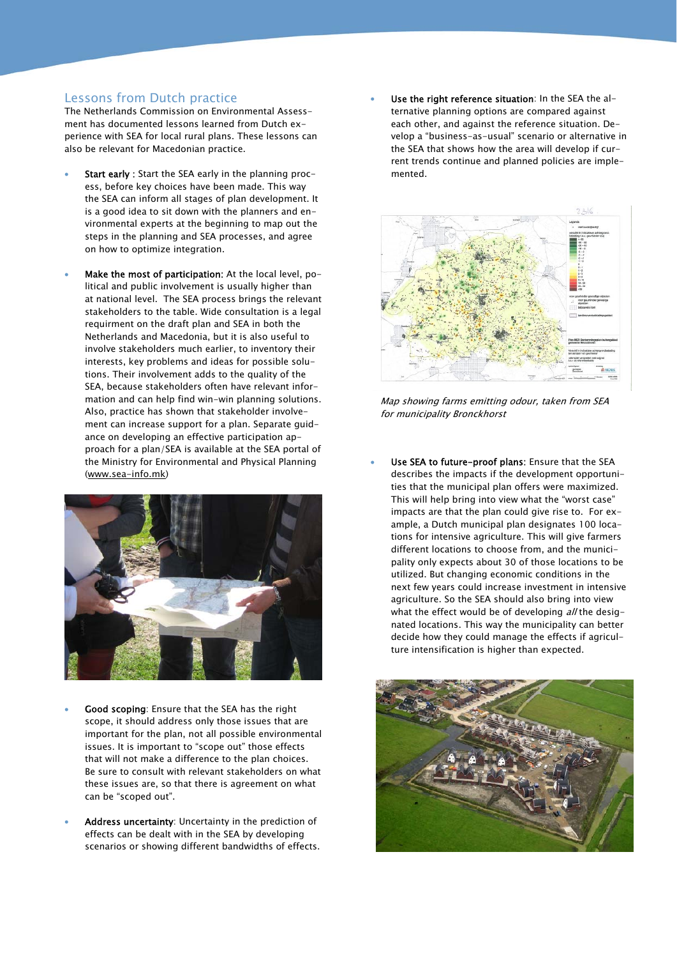### Lessons from Dutch practice

The Netherlands Commission on Environmental Assessment has documented lessons learned from Dutch experience with SEA for local rural plans. These lessons can also be relevant for Macedonian practice.

- Start early : Start the SEA early in the planning process, before key choices have been made. This way the SEA can inform all stages of plan development. It is a good idea to sit down with the planners and environmental experts at the beginning to map out the steps in the planning and SEA processes, and agree on how to optimize integration.
- Make the most of participation: At the local level, political and public involvement is usually higher than at national level. The SEA process brings the relevant stakeholders to the table. Wide consultation is a legal requirment on the draft plan and SEA in both the Netherlands and Macedonia, but it is also useful to involve stakeholders much earlier, to inventory their interests, key problems and ideas for possible solutions. Their involvement adds to the quality of the SEA, because stakeholders often have relevant information and can help find win-win planning solutions. Also, practice has shown that stakeholder involvement can increase support for a plan. Separate guidance on developing an effective participation approach for a plan/SEA is available at the SEA portal of the Ministry for Environmental and Physical Planning [\(www.sea-info.mk\)](http://www.sea-info.mk/)



- Good scoping: Ensure that the SEA has the right scope, it should address only those issues that are important for the plan, not all possible environmental issues. It is important to "scope out" those effects that will not make a difference to the plan choices. Be sure to consult with relevant stakeholders on what these issues are, so that there is agreement on what can be "scoped out".
- Address uncertainty: Uncertainty in the prediction of effects can be dealt with in the SEA by developing scenarios or showing different bandwidths of effects.

Use the right reference situation: In the SEA the alternative planning options are compared against each other, and against the reference situation. Develop a "business-as-usual" scenario or alternative in the SEA that shows how the area will develop if current trends continue and planned policies are implemented.



Map showing farms emitting odour, taken from SEA for municipality Bronckhorst

 Use SEA to future-proof plans: Ensure that the SEA describes the impacts if the development opportunities that the municipal plan offers were maximized. This will help bring into view what the "worst case" impacts are that the plan could give rise to. For example, a Dutch municipal plan designates 100 locations for intensive agriculture. This will give farmers different locations to choose from, and the municipality only expects about 30 of those locations to be utilized. But changing economic conditions in the next few years could increase investment in intensive agriculture. So the SEA should also bring into view what the effect would be of developing  $a$ // the designated locations. This way the municipality can better decide how they could manage the effects if agriculture intensification is higher than expected.